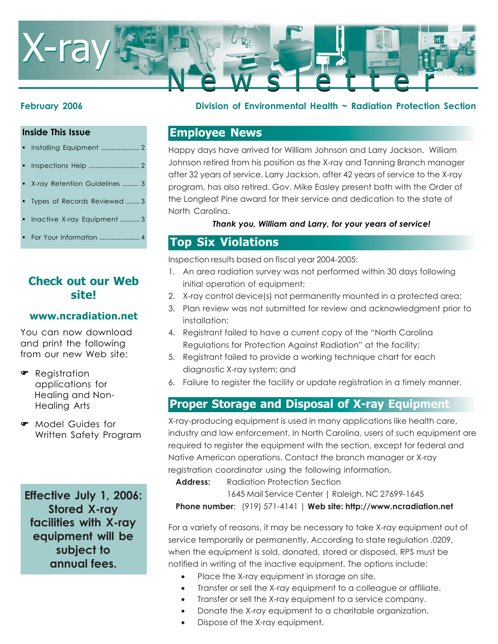

### **Inside This Issue**

- Installing Equipment ...................... 2
- Inspections Help ............................. 2
- X-ray Retention Guidelines ......... 3
- Types of Records Reviewed ........ 3
- Inactive X-ray Equipment ........... 3
- For Your Information ....................... 4

## **Check out our Web site!**

### **www.ncradiation.net**

You can now download and print the following from our new Web site:

- **•** Registration applications for Healing and Non-Healing Arts
- Model Guides for Written Safety Program

**Effective July 1, 2006: Stored X-ray facilities with X-ray equipment will be subject to annual fees.**

### **February 2006 Division of Environmental Health ~ Radiation Protection Section**

### **Employee News**

Happy days have arrived for William Johnson and Larry Jackson. William Johnson retired from his position as the X-ray and Tanning Branch manager after 32 years of service. Larry Jackson, after 42 years of service to the X-ray program, has also retired. Gov. Mike Easley present both with the Order of the Longleaf Pine award for their service and dedication to the state of North Carolina.

### *Thank you, William and Larry, for your years of service!*

### **Top Six Violations**

Inspection results based on fiscal year 2004-2005:

- 1. An area radiation survey was not performed within 30 days following initial operation of equipment;
- 2. X-ray control device(s) not permanently mounted in a protected area;
- 3. Plan review was not submitted for review and acknowledgment prior to installation;
- 4. Registrant failed to have a current copy of the "North Carolina Regulations for Protection Against Radiation" at the facility;
- 5. Registrant failed to provide a working technique chart for each diagnostic X-ray system; and
- 6. Failure to register the facility or update registration in a timely manner.

# **Proper Storage and Disposal of X-ray Equipment**

X-ray-producing equipment is used in many applications like health care, industry and law enforcement. In North Carolina, users of such equipment are required to register the equipment with the section, except for federal and Native American operations. Contact the branch manager or X-ray registration coordinator using the following information.

**Address:** Radiation Protection Section

1645 Mail Service Center | Raleigh, NC 27699-1645 **Phone number**: (919) 571-4141 | **Web site: http://www.ncradiation.net**

For a variety of reasons, it may be necessary to take X-ray equipment out of service temporarily or permanently. According to state regulation .0209, when the equipment is sold, donated, stored or disposed, RPS must be notified in writing of the inactive equipment. The options include:

- Place the X-ray equipment in storage on site.
- Transfer or sell the X-ray equipment to a colleague or affiliate.
- Transfer or sell the X-ray equipment to a service company.
- Donate the X-ray equipment to a charitable organization.
- Dispose of the X-ray equipment.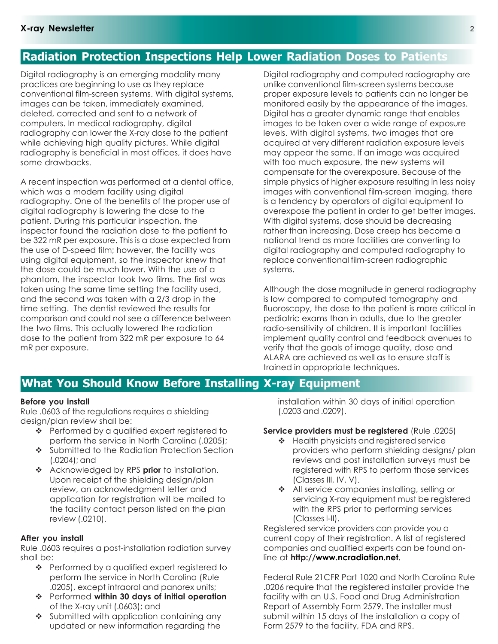# **Radiation Protection Inspections Help Lower Radiation Doses to Patients**

Digital radiography is an emerging modality many practices are beginning to use as they replace conventional film-screen systems. With digital systems, images can be taken, immediately examined, deleted, corrected and sent to a network of computers. In medical radiography, digital radiography can lower the X-ray dose to the patient while achieving high quality pictures. While digital radiography is beneficial in most offices, it does have some drawbacks.

A recent inspection was performed at a dental office, which was a modern facility using digital radiography. One of the benefits of the proper use of digital radiography is lowering the dose to the patient. During this particular inspection, the inspector found the radiation dose to the patient to be 322 mR per exposure. This is a dose expected from the use of D-speed film; however, the facility was using digital equipment, so the inspector knew that the dose could be much lower. With the use of a phantom, the inspector took two films. The first was taken using the same time setting the facility used, and the second was taken with a 2/3 drop in the time setting. The dentist reviewed the results for comparison and could not see a difference between the two films. This actually lowered the radiation dose to the patient from 322 mR per exposure to 64 mR per exposure.

Digital radiography and computed radiography are unlike conventional film-screen systems because proper exposure levels to patients can no longer be monitored easily by the appearance of the images. Digital has a greater dynamic range that enables images to be taken over a wide range of exposure levels. With digital systems, two images that are acquired at very different radiation exposure levels may appear the same. If an image was acquired with too much exposure, the new systems will compensate for the overexposure. Because of the simple physics of higher exposure resulting in less noisy images with conventional film-screen imaging, there is a tendency by operators of digital equipment to overexpose the patient in order to get better images. With digital systems, dose should be decreasing rather than increasing. Dose creep has become a national trend as more facilities are converting to digital radiography and computed radiography to replace conventional film-screen radiographic systems.

Although the dose magnitude in general radiography is low compared to computed tomography and fluoroscopy, the dose to the patient is more critical in pediatric exams than in adults, due to the greater radio-sensitivity of children. It is important facilities implement quality control and feedback avenues to verify that the goals of image quality, dose and ALARA are achieved as well as to ensure staff is trained in appropriate techniques.

### **What You Should Know Before Installing X-ray Equipment**

### **Before you install**

Rule .0603 of the regulations requires a shielding design/plan review shall be:

- ❖ Performed by a qualified expert registered to perform the service in North Carolina (.0205);
- Submitted to the Radiation Protection Section (.0204); and
- Acknowledged by RPS **prior** to installation. Upon receipt of the shielding design/plan review, an acknowledgment letter and application for registration will be mailed to the facility contact person listed on the plan review (.0210).

### **After you install**

Rule .0603 requires a post-installation radiation survey shall be:

- ❖ Performed by a qualified expert registered to perform the service in North Carolina (Rule .0205), except intraoral and panorex units;
- Performed **within 30 days of initial operation** of the X-ray unit (.0603); and
- Submitted with application containing any updated or new information regarding the

installation within 30 days of initial operation (.0203 and .0209).

### **Service providers must be registered** (Rule .0205)

- $\triangleleft$  Health physicists and registered service providers who perform shielding designs/ plan reviews and post installation surveys must be registered with RPS to perform those services (Classes III, IV, V).
- ❖ All service companies installing, selling or servicing X-ray equipment must be registered with the RPS prior to performing services (Classes I-II).

Registered service providers can provide you a current copy of their registration. A list of registered companies and qualified experts can be found online at **http://www.ncradiation.net.**

Federal Rule 21CFR Part 1020 and North Carolina Rule .0206 require that the registered installer provide the facility with an U.S. Food and Drug Administration Report of Assembly Form 2579. The installer must submit within 15 days of the installation a copy of Form 2579 to the facility, FDA and RPS.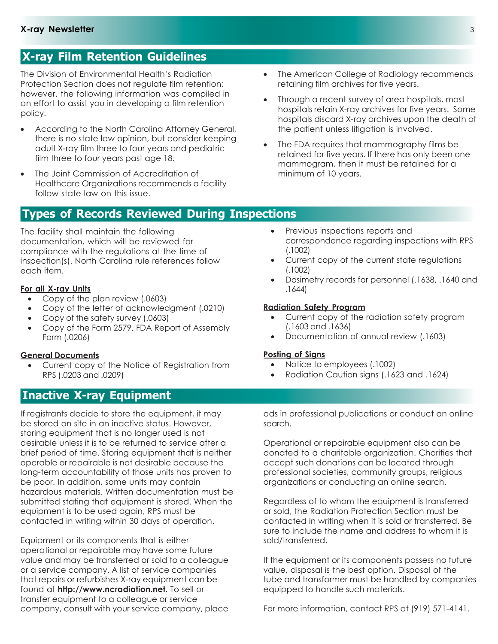# **X-ray Film Retention Guidelines**

The Division of Environmental Health's Radiation Protection Section does not regulate film retention; however, the following information was compiled in an effort to assist you in developing a film retention policy.

- According to the North Carolina Attorney General, there is no state law opinion, but consider keeping adult X-ray film three to four years and pediatric film three to four years past age 18.
- The Joint Commission of Accreditation of Healthcare Organizations recommends a facility follow state law on this issue.

# **Types of Records Reviewed During Inspections**

The facility shall maintain the following documentation, which will be reviewed for compliance with the regulations at the time of inspection(s). North Carolina rule references follow each item.

### **For all X-ray Units**

- Copy of the plan review (.0603)
- Copy of the letter of acknowledgment (.0210)
- Copy of the safety survey (.0603)
- Copy of the Form 2579, FDA Report of Assembly Form (.0206)

#### **General Documents**

• Current copy of the Notice of Registration from RPS (.0203 and .0209)

# **Inactive X-ray Equipment**

If registrants decide to store the equipment, it may be stored on site in an inactive status. However, storing equipment that is no longer used is not desirable unless it is to be returned to service after a brief period of time. Storing equipment that is neither operable or repairable is not desirable because the long-term accountability of those units has proven to be poor. In addition, some units may contain hazardous materials. Written documentation must be submitted stating that equipment is stored. When the equipment is to be used again, RPS must be contacted in writing within 30 days of operation.

Equipment or its components that is either operational or repairable may have some future value and may be transferred or sold to a colleague or a service company. A list of service companies that repairs or refurbishes X-ray equipment can be found at **http://www.ncradiation.net**. To sell or transfer equipment to a colleague or service company, consult with your service company, place

- The American College of Radiology recommends retaining film archives for five years.
- Through a recent survey of area hospitals, most hospitals retain X-ray archives for five years. Some hospitals discard X-ray archives upon the death of the patient unless litigation is involved.
- The FDA requires that mammography films be retained for five years. If there has only been one mammogram, then it must be retained for a minimum of 10 years.
	- Previous inspections reports and correspondence regarding inspections with RPS (.1002)
	- Current copy of the current state regulations (.1002)
	- Dosimetry records for personnel (.1638, .1640 and .1644)

### **Radiation Safety Program**

- Current copy of the radiation safety program (.1603 and .1636)
- Documentation of annual review (.1603)

### **Posting of Signs**

- Notice to employees (.1002)
- Radiation Caution signs (.1623 and .1624)

ads in professional publications or conduct an online search.

Operational or repairable equipment also can be donated to a charitable organization. Charities that accept such donations can be located through professional societies, community groups, religious organizations or conducting an online search.

Regardless of to whom the equipment is transferred or sold, the Radiation Protection Section must be contacted in writing when it is sold or transferred. Be sure to include the name and address to whom it is sold/transferred.

If the equipment or its components possess no future value, disposal is the best option. Disposal of the tube and transformer must be handled by companies equipped to handle such materials.

For more information, contact RPS at (919) 571-4141.